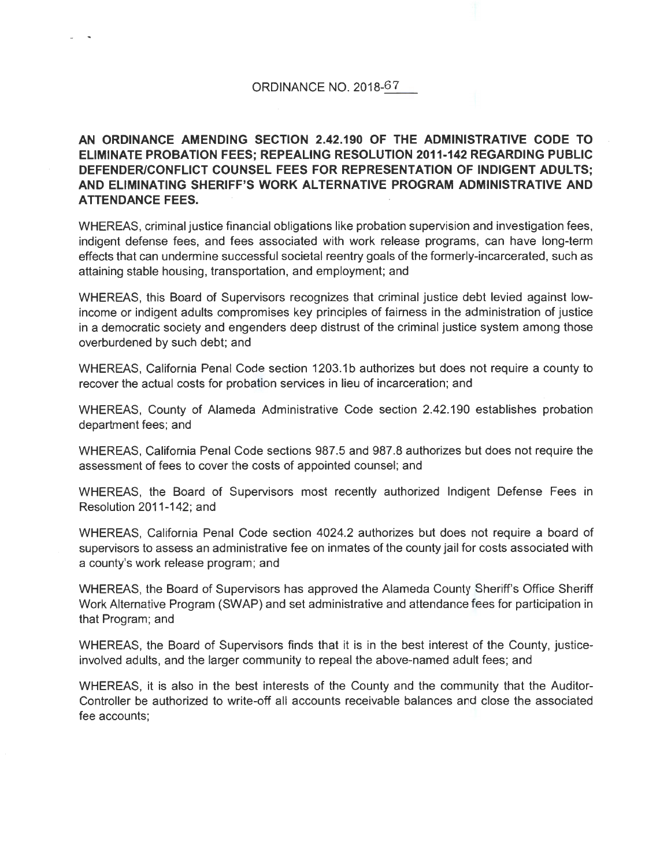# **AN ORDINANCE AMENDING SECTION 2.42.190 OF THE ADMINISTRATIVE CODE TO ELIMINATE PROBATION FEES; REPEALING RESOLUTION 2011-142 REGARDING PUBLIC DEFENDER/CONFLICT COUNSEL FEES FOR REPRESENTATION OF INDIGENT ADULTS; AND ELIMINATING SHERIFF'S WORK ALTERNATIVE PROGRAM ADMINISTRATIVE AND ATTENDANCE FEES.**

WHEREAS, criminal justice financial obligations like probation supervision and investigation fees, indigent defense fees, and fees associated with work release programs, can have long-term effects that can undermine successful societal reentry goals of the formerly-incarcerated, such as attaining stable housing, transportation, and employment; and

WHEREAS, this Board of Supervisors recognizes that criminal justice debt levied against lowincome or indigent adults compromises key principles of fairness in the administration of justice in a democratic society and engenders deep distrust of the criminal justice system among those overburdened by such debt; and

WHEREAS, California Penal Code section 1203.1 b authorizes but does not require a county to recover the actual costs for probation services in lieu of incarceration; and

WHEREAS, County of Alameda Administrative Code section 2.42.190 establishes probation department fees; and

WHEREAS, California Penal Code sections 987.5 and 987.8 authorizes but does not require the assessment of fees to cover the costs of appointed counsel; and

WHEREAS, the Board of Supervisors most recently authorized Indigent Defense Fees in Resolution 2011-142; and

WHEREAS, California Penal Code section 4024.2 authorizes but does not require a board of supervisors to assess an administrative fee on inmates of the county jail for costs associated with a county's work release program; and

WHEREAS, the Board of Supervisors has approved the Alameda County Sheriff's Office Sheriff Work Alternative Program (SWAP) and set administrative and attendance fees for participation in that Program; and

WHEREAS, the Board of Supervisors finds that it is in the best interest of the County, justiceinvolved adults, and the larger community to repeal the above-named adult fees; and

WHEREAS, it is also in the best interests of the County and the community that the Auditor-Controller be authorized to write-off all accounts receivable balances and close the associated fee accounts;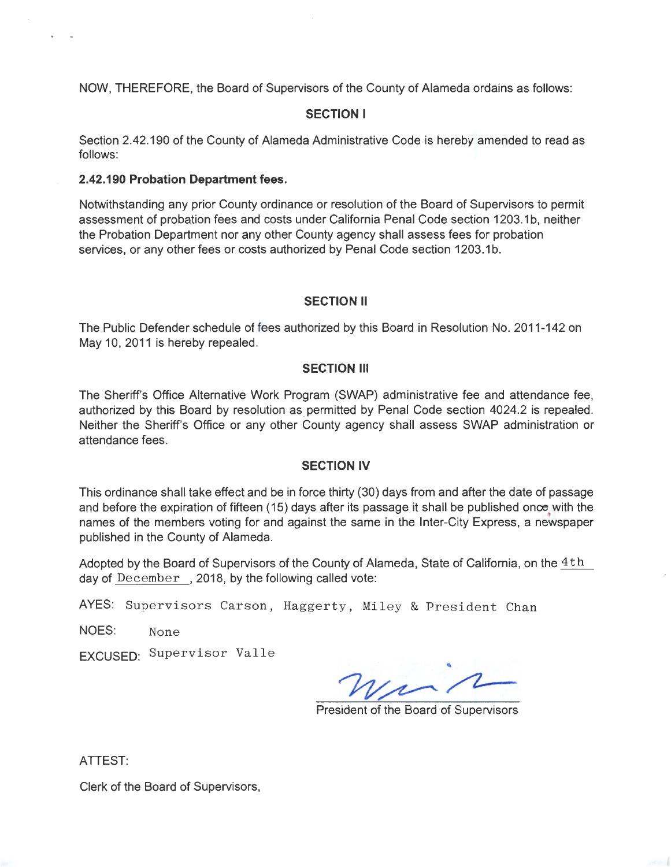NOW, **THEREFORE,** the Board of Supervisors of the County of Alameda ordains as follows:

## **SECTION I**

Section 2.42.190 of the County of Alameda Administrative Code is hereby amended to read as follows:

#### **2.42.190 Probation Department fees.**

Notwithstanding any prior County ordinance or resolution of the Board of Supervisors to permit assessment of probation fees and costs under California Penal Code section 1203.1 b, neither the Probation Department nor any other County agency shall assess fees for probation services, or any other fees or costs authorized by Penal Code section 1203.1b.

#### **SECTION II**

The Public Defender schedule of fees authorized by this Board in Resolution No. 2011-142 on May 10, 2011 is hereby repealed.

### **SECTION Ill**

The Sheriff's Office Alternative Work Program (SWAP) administrative fee and attendance fee, authorized by this Board by resolution as permitted by Penal Code section 4024.2 is repealed. Neither the Sheriff's Office or any other County agency shall assess SWAP administration or attendance fees.

#### **SECTION IV**

This ordinance shall take effect and be in force thirty (30) days from and after the date of passage and before the expiration of fifteen (15) days after its passage it shall be published once with the names of the members voting for and against the same in the Inter-City Express, a newspaper published in the County of Alameda.

Adopted by the Board of Supervisors of the County of Alameda, State of California, on the  $4th$ day of  $December$ , 2018, by the following called vote:

AYES: Supervisors Carson, Haggerty, Miley & President Chan

NOES: None

EXCUSED: Supervisor Valle

**a**  $W_{\mu}$ 

President of the Board of Supervisors

ATTEST:

Clerk of the Board of Supervisors,